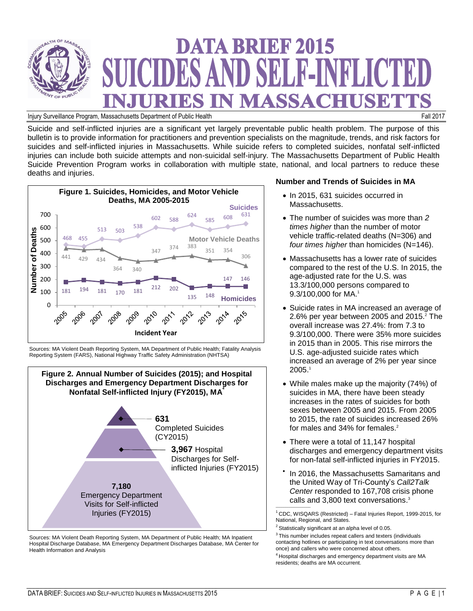

# **DATA BRIEF 2015** CIDES AND SELE-INFLICT URIES IN MASSACHUSET

Injury Surveillance Program, Massachusetts Department of Public Health Fall 2017

Suicide and self-inflicted injuries are a significant yet largely preventable public health problem. The purpose of this bulletin is to provide information for practitioners and prevention specialists on the magnitude, trends, and risk factors for suicides and self-inflicted injuries in Massachusetts. While suicide refers to completed suicides, nonfatal self-inflicted injuries can include both suicide attempts and non-suicidal self-injury. The Massachusetts Department of Public Health Suicide Prevention Program works in collaboration with multiple state, national, and local partners to reduce these deaths and injuries.



Sources: MA Violent Death Reporting System, MA Department of Public Health; Fatality Analysis Reporting System (FARS), National Highway Traffic Safety Administration (NHTSA)



Sources: MA Violent Death Reporting System, MA Department of Public Health; MA Inpatient Hospital Discharge Database, MA Emergency Department Discharges Database, MA Center for Health Information and Analysis

## **Number and Trends of Suicides in MA**

- In 2015, 631 suicides occurred in Massachusetts.
- The number of suicides was more than *2 times higher* than the number of motor vehicle traffic-related deaths (N=306) and *four times higher* than homicides (N=146).
- Massachusetts has a lower rate of suicides compared to the rest of the U.S. In 2015, the age-adjusted rate for the U.S. was 13.3/100,000 persons compared to 9.3/100,000 for MA. 1
- Suicide rates in MA increased an average of 2.6% per year between 2005 and 2015. <sup>2</sup> The overall increase was 27.4%: from 7.3 to 9.3/100,000. There were 35% more suicides in 2015 than in 2005. This rise mirrors the U.S. age-adjusted suicide rates which increased an average of 2% per year since 2005. 1
- While males make up the majority (74%) of suicides in MA, there have been steady increases in the rates of suicides for both sexes between 2005 and 2015. From 2005 to 2015, the rate of suicides increased 26% for males and 34% for females.<sup>2</sup>
- There were a total of 11,147 hospital discharges and emergency department visits for non-fatal self-inflicted injuries in FY2015.
- $\bullet$ In 2016, the Massachusetts Samaritans and the United Way of Tri-County's *Call2Talk Center* responded to 167,708 crisis phone calls and 3,800 text conversations. 3  $\mathcal{L}$  and  $\mathcal{L}$  are the set of the set of the set of the set of the set of the set of the set of the set of the set of the set of the set of the set of the set of the set of the set of the set of the set of the set

 $1$  CDC, WISQARS (Restricted) – Fatal Injuries Report, 1999-2015, for National, Regional, and States.

 $2$  Statistically significant at an alpha level of 0.05.

 $3$ This number includes repeat callers and texters (individuals contacting hotlines or participating in text conversations more than once) and callers who were concerned about others.

<sup>4</sup> Hospital discharges and emergency department visits are MA residents; deaths are MA occurrent.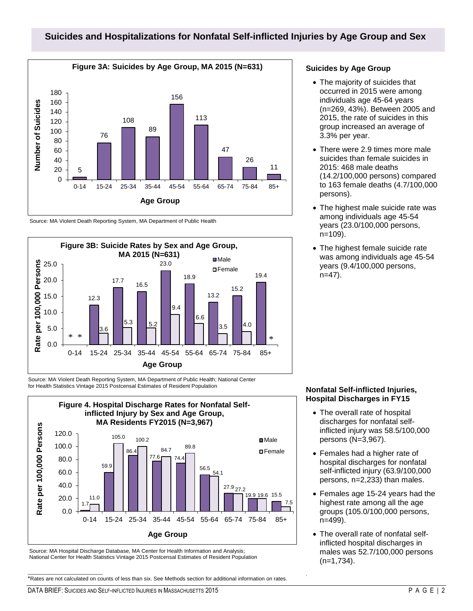# **Suicides and Hospitalizations for Nonfatal Self-inflicted Injuries by Age Group and Sex**



Source: MA Violent Death Reporting System, MA Department of Public Health



Source: MA Violent Death Reporting System, MA Department of Public Health; National Center for Health Statistics Vintage 2015 Postcensal Estimates of Resident Population



Source: MA Hospital Discharge Database, MA Center for Health Information and Analysis; National Center for Health Statistics Vintage 2015 Postcensal Estimates of Resident Population

\*Rates are not calculated on counts of less than six. See Methods section for additional information on rates.

### **Suicides by Age Group**

- The majority of suicides that occurred in 2015 were among individuals age 45-64 years (n=269, 43%). Between 2005 and 2015, the rate of suicides in this group increased an average of 3.3% per year.
- There were 2.9 times more male suicides than female suicides in 2015: 468 male deaths (14.2/100,000 persons) compared to 163 female deaths (4.7/100,000 persons).
- The highest male suicide rate was among individuals age 45-54 years (23.0/100,000 persons, n=109).
- The highest female suicide rate was among individuals age 45-54 years (9.4/100,000 persons, n=47).

#### **Nonfatal Self-inflicted Injuries, Hospital Discharges in FY15**

- The overall rate of hospital discharges for nonfatal selfinflicted injury was 58.5/100,000 persons (N=3,967).
- Females had a higher rate of hospital discharges for nonfatal self-inflicted injury (63.9/100,000 persons, n=2,233) than males.
- Females age 15-24 years had the highest rate among all the age groups (105.0/100,000 persons, n=499).
- The overall rate of nonfatal selfinflicted hospital discharges in males was 52.7/100,000 persons (n=1,734).

.

 $\frac{1}{2}$  ,  $\frac{1}{2}$  ,  $\frac{1}{2}$  ,  $\frac{1}{2}$  ,  $\frac{1}{2}$  ,  $\frac{1}{2}$  ,  $\frac{1}{2}$  ,  $\frac{1}{2}$  ,  $\frac{1}{2}$  ,  $\frac{1}{2}$  ,  $\frac{1}{2}$  ,  $\frac{1}{2}$  ,  $\frac{1}{2}$  ,  $\frac{1}{2}$  ,  $\frac{1}{2}$  ,  $\frac{1}{2}$  ,  $\frac{1}{2}$  ,  $\frac{1}{2}$  ,  $\frac{1$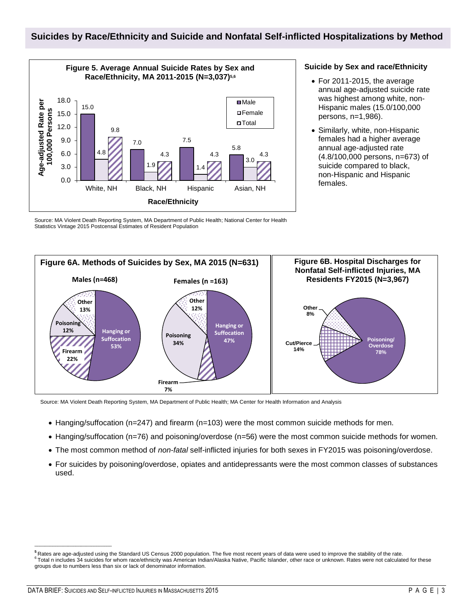# **Suicides by Race/Ethnicity and Suicide and Nonfatal Self-inflicted Hospitalizations by Method**



#### **Suicide by Sex and race/Ethnicity**

- For 2011-2015, the average annual age-adjusted suicide rate was highest among white, non-Hispanic males (15.0/100,000 persons, n=1,986).
- Similarly, white, non-Hispanic females had a higher average annual age-adjusted rate (4.8/100,000 persons, n=673) of suicide compared to black, non-Hispanic and Hispanic females.

 Statistics Vintage 2015 Postcensal Estimates of Resident Population Source: MA Violent Death Reporting System, MA Department of Public Health; National Center for Health



Source: MA Violent Death Reporting System, MA Department of Public Health; MA Center for Health Information and Analysis

- Hanging/suffocation (n=247) and firearm (n=103) were the most common suicide methods for men.
- Hanging/suffocation (n=76) and poisoning/overdose (n=56) were the most common suicide methods for women.
- The most common method of *non-fatal* self-inflicted injuries for both sexes in FY2015 was poisoning/overdose.
- For suicides by poisoning/overdose, opiates and antidepressants were the most common classes of substances used.

\_\_\_\_\_\_\_\_\_\_\_\_\_\_\_\_\_\_\_\_\_\_\_\_\_\_\_\_\_\_

**<sup>5</sup>**Rates are age-adjusted using the Standard US Census 2000 population. The five most recent years of data were used to improve the stability of the rate. <sup>6</sup> Total n includes 34 suicides for whom race/ethnicity was American Indian/Alaska Native, Pacific Islander, other race or unknown. Rates were not calculated for these groups due to numbers less than six or lack of denominator information.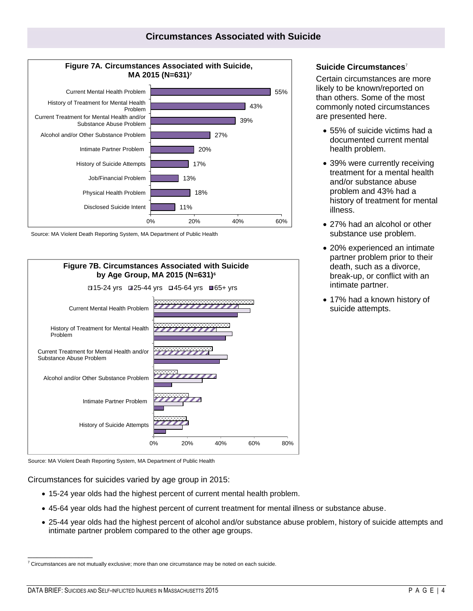



Source: MA Violent Death Reporting System, MA Department of Public Health



Source: MA Violent Death Reporting System, MA Department of Public Health

Circumstances for suicides varied by age group in 2015:

- 15-24 year olds had the highest percent of current mental health problem.
- 45-64 year olds had the highest percent of current treatment for mental illness or substance abuse.
- 25-44 year olds had the highest percent of alcohol and/or substance abuse problem, history of suicide attempts and intimate partner problem compared to the other age groups.

### **Suicide Circumstances**<sup>7</sup>

Certain circumstances are more likely to be known/reported on than others. Some of the most commonly noted circumstances are presented here.

- 55% of suicide victims had a documented current mental health problem.
- 39% were currently receiving treatment for a mental health and/or substance abuse problem and 43% had a history of treatment for mental illness.
- 27% had an alcohol or other substance use problem.
- 20% experienced an intimate partner problem prior to their death, such as a divorce, break-up, or conflict with an intimate partner.
- 17% had a known history of suicide attempts.

\_\_\_\_\_\_\_\_\_\_\_\_\_\_

 $7$  Circumstances are not mutually exclusive; more than one circumstance may be noted on each suicide.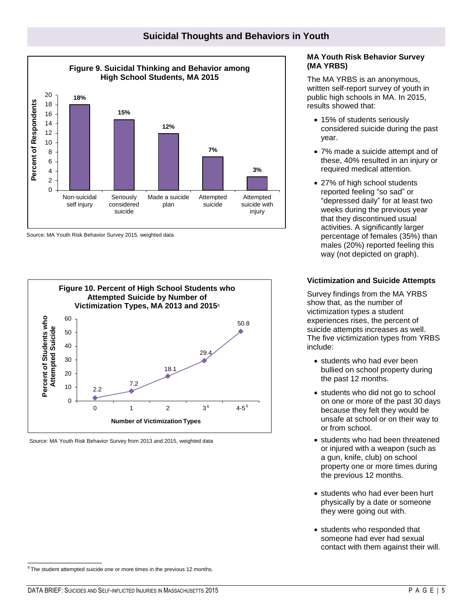

Source: MA Youth Risk Behavior Survey 2015, weighted data



Source: MA Youth Risk Behavior Survey from 2013 and 2015, weighted data

# **MA Youth Risk Behavior Survey (MA YRBS)**

The MA YRBS is an anonymous, written self-report survey of youth in public high schools in MA. In 2015, results showed that:

- 15% of students seriously considered suicide during the past year.
- 7% made a suicide attempt and of these, 40% resulted in an injury or required medical attention.
- 27% of high school students reported feeling "so sad" or "depressed daily" for at least two weeks during the previous year that they discontinued usual activities. A significantly larger percentage of females (35%) than males (20%) reported feeling this way (not depicted on graph).

# **Victimization and Suicide Attempts**

Survey findings from the MA YRBS show that, as the number of victimization types a student experiences rises, the percent of suicide attempts increases as well. The five victimization types from YRBS include:

- students who had ever been bullied on school property during the past 12 months.
- students who did not go to school on one or more of the past 30 days because they felt they would be unsafe at school or on their way to or from school.
- students who had been threatened or injured with a weapon (such as a gun, knife, club) on school property one or more times during the previous 12 months.
- students who had ever been hurt physically by a date or someone they were going out with.
- students who responded that someone had ever had sexual contact with them against their will.

\_\_\_\_\_\_\_\_\_\_\_\_\_\_\_\_

 $8$ The student attempted suicide one or more times in the previous 12 months.